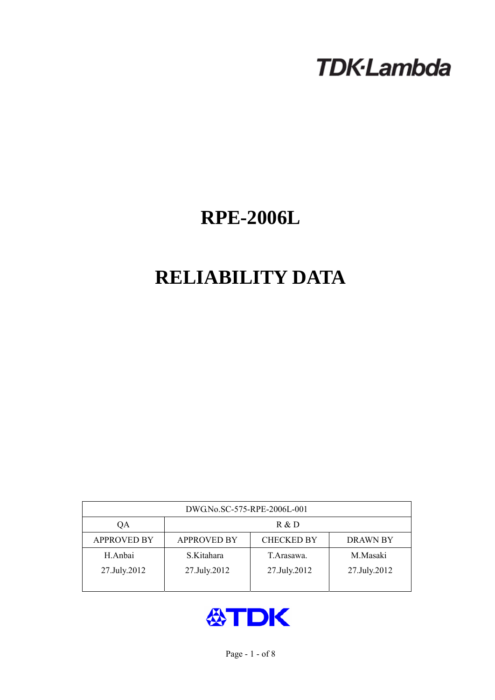# **TDK-Lambda**

## **RPE-2006L**

## **RELIABILITY DATA**

| DWG.No.SC-575-RPE-2006L-001 |                                                            |              |              |  |  |  |
|-----------------------------|------------------------------------------------------------|--------------|--------------|--|--|--|
| QA                          | R & D                                                      |              |              |  |  |  |
| <b>APPROVED BY</b>          | <b>CHECKED BY</b><br><b>APPROVED BY</b><br><b>DRAWN BY</b> |              |              |  |  |  |
| H.Anbai                     | S.Kitahara                                                 | T. Arasawa.  | M.Masaki     |  |  |  |
| 27.July.2012                | 27.July.2012                                               | 27.July.2012 | 27.July.2012 |  |  |  |
|                             |                                                            |              |              |  |  |  |

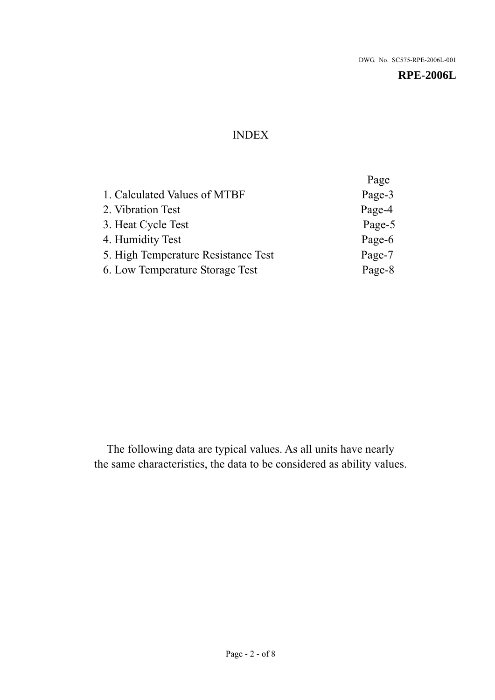## INDEX

|                                     | Page   |
|-------------------------------------|--------|
| 1. Calculated Values of MTBF        | Page-3 |
| 2. Vibration Test                   | Page-4 |
| 3. Heat Cycle Test                  | Page-5 |
| 4. Humidity Test                    | Page-6 |
| 5. High Temperature Resistance Test | Page-7 |
| 6. Low Temperature Storage Test     | Page-8 |
|                                     |        |

The following data are typical values. As all units have nearly the same characteristics, the data to be considered as ability values.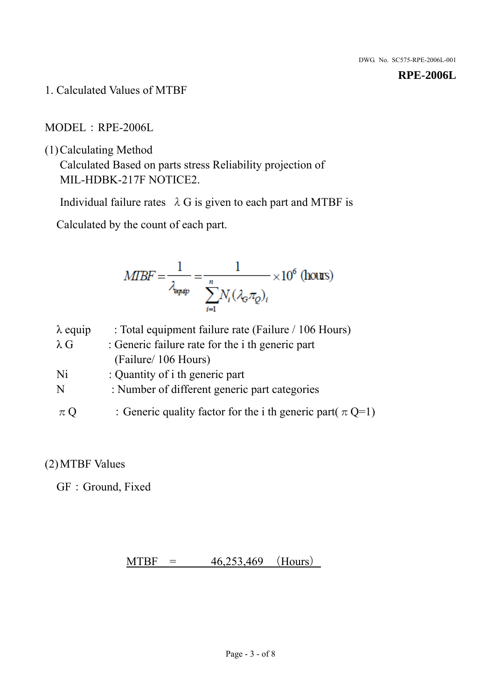1. Calculated Values of MTBF

MODEL:RPE-2006L

(1)Calculating Method

Calculated Based on parts stress Reliability projection of MIL-HDBK-217F NOTICE2.

Individual failure rates  $\lambda$  G is given to each part and MTBF is

Calculated by the count of each part.

$$
MIBF = \frac{1}{\lambda_{\text{expap}}} = \frac{1}{\sum_{i=1}^{n} N_i (\lambda_{\text{G}} \pi_Q)_i} \times 10^6 \text{ (hours)}
$$

| $\lambda$ equip | : Total equipment failure rate (Failure / 106 Hours)            |
|-----------------|-----------------------------------------------------------------|
| $\lambda$ G     | : Generic failure rate for the <i>i</i> th generic part         |
|                 | (Failure/ 106 Hours)                                            |
| Ni              | : Quantity of i th generic part                                 |
| N               | : Number of different generic part categories                   |
| $\pi Q$         | : Generic quality factor for the i th generic part( $\pi Q=1$ ) |

## (2)MTBF Values

GF: Ground, Fixed

## $MTBF = 46,253,469$  (Hours)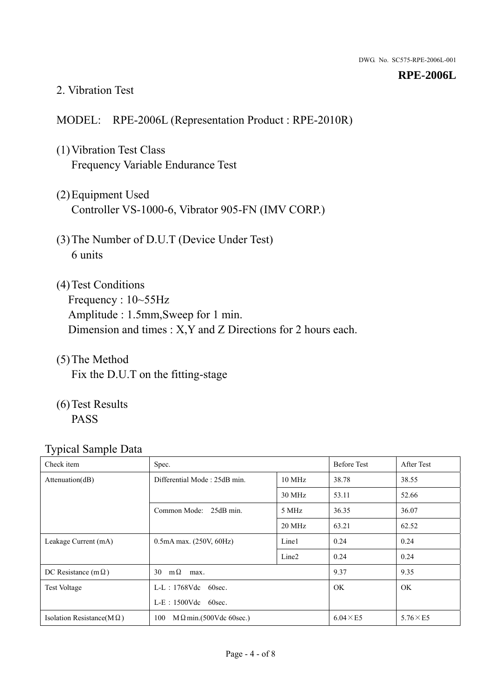#### 2. Vibration Test

## MODEL: RPE-2006L (Representation Product : RPE-2010R)

- (1)Vibration Test Class Frequency Variable Endurance Test
- (2)Equipment Used Controller VS-1000-6, Vibrator 905-FN (IMV CORP.)
- (3)The Number of D.U.T (Device Under Test) 6 units
- (4) Test Conditions Frequency : 10~55Hz Amplitude : 1.5mm,Sweep for 1 min. Dimension and times : X,Y and Z Directions for 2 hours each.
- (5)The Method Fix the D.U.T on the fitting-stage
- (6)Test Results PASS

| Check item                        | Spec.                                |                   | <b>Before Test</b> | After Test      |
|-----------------------------------|--------------------------------------|-------------------|--------------------|-----------------|
| Attenuation(dB)                   | Differential Mode: 25dB min.         |                   | 38.78              | 38.55           |
|                                   |                                      | 30 MHz            | 53.11              | 52.66           |
|                                   | Common Mode: 25dB min.               | 5 MHz             | 36.35              | 36.07           |
|                                   |                                      | 20 MHz            | 63.21              | 62.52           |
| Leakage Current (mA)              | $0.5mA$ max. $(250V, 60Hz)$          | Line1             | 0.24               | 0.24            |
|                                   |                                      | Line <sub>2</sub> | 0.24               | 0.24            |
| DC Resistance (m $\Omega$ )       | $m\Omega$<br>30<br>max.              |                   | 9.37               | 9.35            |
| <b>Test Voltage</b>               | $L-L$ : 1768Vdc 60sec.               |                   | <b>OK</b>          | <b>OK</b>       |
|                                   | $L-E$ : 1500Vdc 60sec.               |                   |                    |                 |
| Isolation Resistance( $M\Omega$ ) | 100<br>$M\Omega$ min.(500Vdc 60sec.) |                   | $6.04 \times E5$   | $5.76\times E5$ |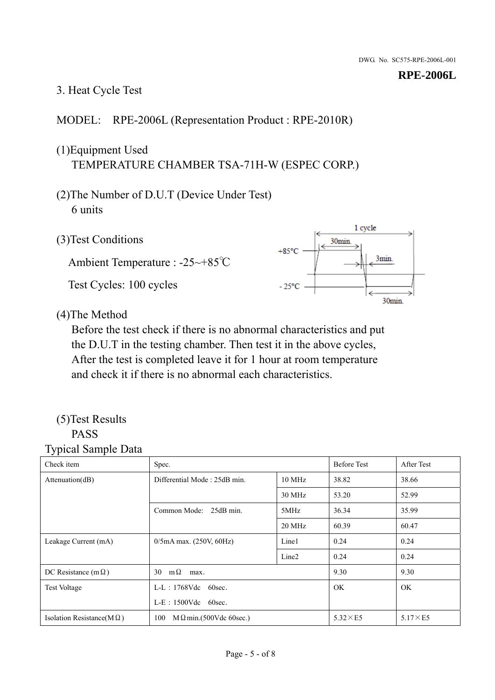## 3. Heat Cycle Test

## MODEL: RPE-2006L (Representation Product : RPE-2010R)

## (1)Equipment Used TEMPERATURE CHAMBER TSA-71H-W (ESPEC CORP.)

- (2)The Number of D.U.T (Device Under Test) 6 units
- 1 cycle (3)Test Conditions 30<sub>min</sub>  $+85^{\circ}$ C 3min. Ambient Temperature : -25~+85℃ Test Cycles: 100 cycles  $-25^{\circ}$ C 30min.

(4)The Method

Before the test check if there is no abnormal characteristics and put the D.U.T in the testing chamber. Then test it in the above cycles, After the test is completed leave it for 1 hour at room temperature and check it if there is no abnormal each characteristics.

### (5)Test Results PASS

| ┙┸<br>$\mathbf{I}$<br>Check item  | Spec.                                  |                   | <b>Before Test</b> | After Test      |
|-----------------------------------|----------------------------------------|-------------------|--------------------|-----------------|
| Attention(dB)                     | Differential Mode: 25dB min.<br>10 MHz |                   | 38.82              | 38.66           |
|                                   |                                        | 30 MHz            | 53.20              | 52.99           |
|                                   | Common Mode: 25dB min.                 | 5MHz              | 36.34              | 35.99           |
|                                   |                                        | 20 MHz            | 60.39              | 60.47           |
| Leakage Current (mA)              | $0/5$ mA max. (250V, 60Hz)             | Line1             | 0.24               | 0.24            |
|                                   |                                        | Line <sub>2</sub> | 0.24               | 0.24            |
| DC Resistance (m $\Omega$ )       | $m\Omega$<br>30<br>max.                |                   | 9.30               | 9.30            |
| <b>Test Voltage</b>               | $L-L$ : 1768Vdc 60sec.                 |                   | OK.                | OK.             |
|                                   | $L-E$ : 1500Vdc 60sec.                 |                   |                    |                 |
| Isolation Resistance(M $\Omega$ ) | 100<br>$M\Omega$ min.(500Vdc 60sec.)   |                   | $5.32\times E5$    | $5.17\times E5$ |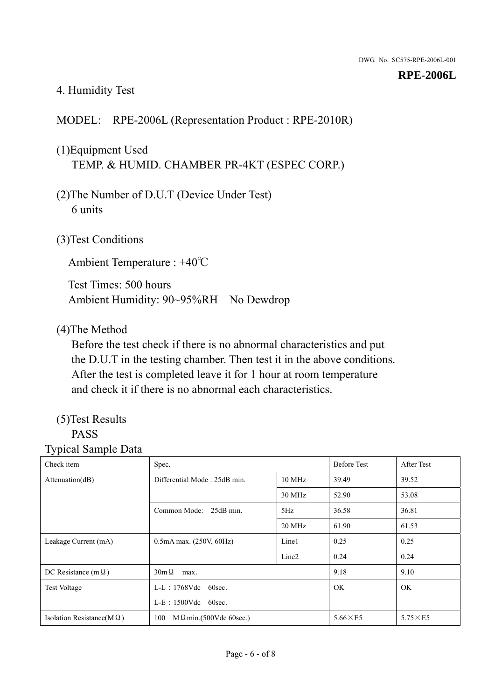## 4. Humidity Test

## MODEL: RPE-2006L (Representation Product : RPE-2010R)

## (1)Equipment Used TEMP. & HUMID. CHAMBER PR-4KT (ESPEC CORP.)

- (2)The Number of D.U.T (Device Under Test) 6 units
- (3)Test Conditions

Ambient Temperature : +40℃

Test Times: 500 hours Ambient Humidity: 90~95%RH No Dewdrop

## (4)The Method

Before the test check if there is no abnormal characteristics and put the D.U.T in the testing chamber. Then test it in the above conditions. After the test is completed leave it for 1 hour at room temperature and check it if there is no abnormal each characteristics.

## (5)Test Results

## PASS

| ັ່<br>л.<br>Check item            | Spec.                                  |                   | <b>Before Test</b> | After Test      |
|-----------------------------------|----------------------------------------|-------------------|--------------------|-----------------|
| Attenuation(dB)                   | Differential Mode: 25dB min.<br>10 MHz |                   | 39.49              | 39.52           |
|                                   |                                        | 30 MHz            | 52.90              | 53.08           |
|                                   | Common Mode: 25dB min.                 | 5Hz               | 36.58              | 36.81           |
|                                   |                                        | 20 MHz            | 61.90              | 61.53           |
| Leakage Current (mA)              | $0.5mA$ max. $(250V, 60Hz)$            | Line1             | 0.25               | 0.25            |
|                                   |                                        | Line <sub>2</sub> | 0.24               | 0.24            |
| DC Resistance (m $\Omega$ )       | $30m\Omega$<br>max.                    |                   | 9.18               | 9.10            |
| <b>Test Voltage</b>               | $L-L$ : 1768Vdc 60sec.                 |                   | OK.                | OK.             |
|                                   | $L-E$ : 1500Vdc 60sec.                 |                   |                    |                 |
| Isolation Resistance(M $\Omega$ ) | $M \Omega$ min.(500Vdc 60sec.)<br>100  |                   | $5.66\times E5$    | $5.75\times E5$ |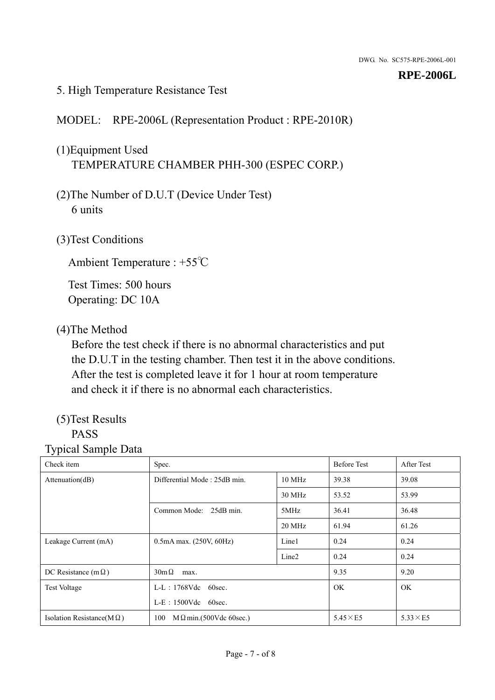### 5. High Temperature Resistance Test

### MODEL: RPE-2006L (Representation Product : RPE-2010R)

## (1)Equipment Used TEMPERATURE CHAMBER PHH-300 (ESPEC CORP.)

- (2)The Number of D.U.T (Device Under Test) 6 units
- (3)Test Conditions

Ambient Temperature : +55℃

Test Times: 500 hours Operating: DC 10A

#### (4)The Method

Before the test check if there is no abnormal characteristics and put the D.U.T in the testing chamber. Then test it in the above conditions. After the test is completed leave it for 1 hour at room temperature and check it if there is no abnormal each characteristics.

## (5)Test Results

## PASS

| ັ່<br>л.<br>Check item            | Spec.                                  |                   | <b>Before Test</b> | After Test      |
|-----------------------------------|----------------------------------------|-------------------|--------------------|-----------------|
| Attenuation(dB)                   | Differential Mode: 25dB min.<br>10 MHz |                   | 39.38              | 39.08           |
|                                   |                                        | 30 MHz            | 53.52              | 53.99           |
|                                   | Common Mode: 25dB min.                 | 5MHz              | 36.41              | 36.48           |
|                                   |                                        | 20 MHz            | 61.94              | 61.26           |
| Leakage Current (mA)              | $0.5mA$ max. $(250V, 60Hz)$            | Line1             | 0.24               | 0.24            |
|                                   |                                        | Line <sub>2</sub> | 0.24               | 0.24            |
| DC Resistance (m $\Omega$ )       | $30m\Omega$<br>max.                    |                   | 9.35               | 9.20            |
| <b>Test Voltage</b>               | $L-L$ : 1768Vdc 60sec.                 |                   | OK.                | OK.             |
|                                   | L-E: 1500Vdc 60sec.                    |                   |                    |                 |
| Isolation Resistance(M $\Omega$ ) | $M \Omega$ min.(500Vdc 60sec.)<br>100  |                   | $5.45\times E5$    | $5.33\times E5$ |